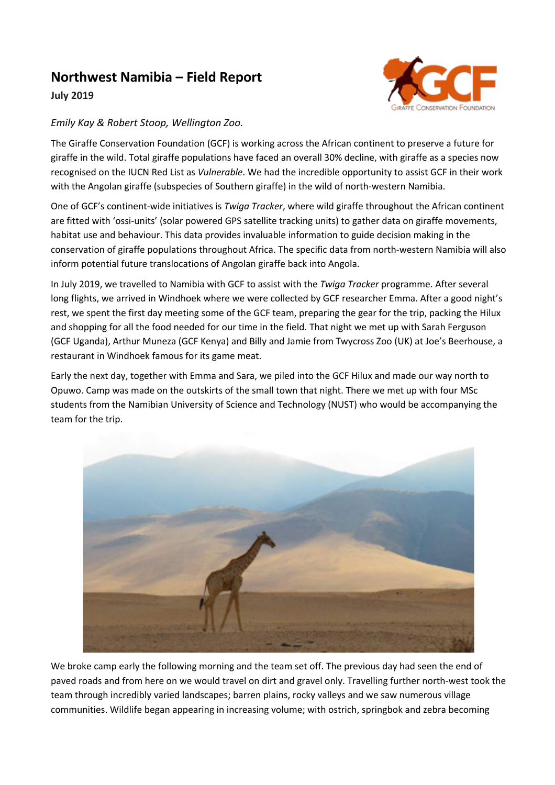## **Northwest Namibia – Field Report**





## *Emily Kay & Robert Stoop, Wellington Zoo.*

The Giraffe Conservation Foundation (GCF) is working across the African continent to preserve a future for giraffe in the wild. Total giraffe populations have faced an overall 30% decline, with giraffe as a species now recognised on the IUCN Red List as *Vulnerable*. We had the incredible opportunity to assist GCF in their work with the Angolan giraffe (subspecies of Southern giraffe) in the wild of north-western Namibia.

One of GCF's continent-wide initiatives is *Twiga Tracker*, where wild giraffe throughout the African continent are fitted with 'ossi-units' (solar powered GPS satellite tracking units) to gather data on giraffe movements, habitat use and behaviour. This data provides invaluable information to guide decision making in the conservation of giraffe populations throughout Africa. The specific data from north-western Namibia will also inform potential future translocations of Angolan giraffe back into Angola.

In July 2019, we travelled to Namibia with GCF to assist with the *Twiga Tracker* programme. After several long flights, we arrived in Windhoek where we were collected by GCF researcher Emma. After a good night's rest, we spent the first day meeting some of the GCF team, preparing the gear for the trip, packing the Hilux and shopping for all the food needed for our time in the field. That night we met up with Sarah Ferguson (GCF Uganda), Arthur Muneza (GCF Kenya) and Billy and Jamie from Twycross Zoo (UK) at Joe's Beerhouse, a restaurant in Windhoek famous for its game meat.

Early the next day, together with Emma and Sara, we piled into the GCF Hilux and made our way north to Opuwo. Camp was made on the outskirts of the small town that night. There we met up with four MSc students from the Namibian University of Science and Technology (NUST) who would be accompanying the team for the trip.



We broke camp early the following morning and the team set off. The previous day had seen the end of paved roads and from here on we would travel on dirt and gravel only. Travelling further north-west took the team through incredibly varied landscapes; barren plains, rocky valleys and we saw numerous village communities. Wildlife began appearing in increasing volume; with ostrich, springbok and zebra becoming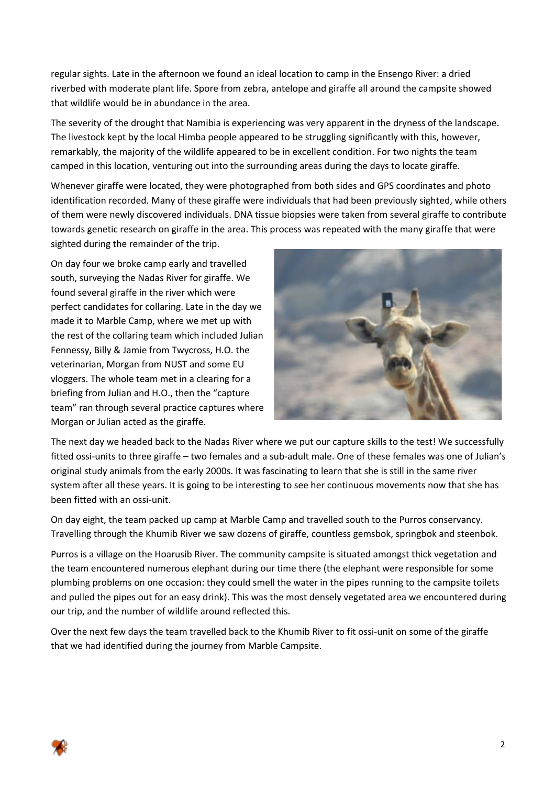regular sights. Late in the afternoon we found an ideal location to camp in the Ensengo River: a dried riverbed with moderate plant life. Spore from zebra, antelope and giraffe all around the campsite showed that wildlife would be in abundance in the area.

The severity of the drought that Namibia is experiencing was very apparent in the dryness of the landscape. The livestock kept by the local Himba people appeared to be struggling significantly with this, however, remarkably, the majority of the wildlife appeared to be in excellent condition. For two nights the team camped in this location, venturing out into the surrounding areas during the days to locate giraffe.

Whenever giraffe were located, they were photographed from both sides and GPS coordinates and photo identification recorded. Many of these giraffe were individuals that had been previously sighted, while others of them were newly discovered individuals. DNA tissue biopsies were taken from several giraffe to contribute towards genetic research on giraffe in the area. This process was repeated with the many giraffe that were sighted during the remainder of the trip.

On day four we broke camp early and travelled south, surveying the Nadas River for giraffe. We found several giraffe in the river which were perfect candidates for collaring. Late in the day we made it to Marble Camp, where we met up with the rest of the collaring team which included Julian Fennessy, Billy & Jamie from Twycross, H.O. the veterinarian, Morgan from NUST and some EU vloggers. The whole team met in a clearing for a briefing from Julian and H.O., then the "capture team" ran through several practice captures where Morgan or Julian acted as the giraffe.



The next day we headed back to the Nadas River where we put our capture skills to the test! We successfully fitted ossi-units to three giraffe – two females and a sub-adult male. One of these females was one of Julian's original study animals from the early 2000s. It was fascinating to learn that she is still in the same river system after all these years. It is going to be interesting to see her continuous movements now that she has been fitted with an ossi-unit.

On day eight, the team packed up camp at Marble Camp and travelled south to the Purros conservancy. Travelling through the Khumib River we saw dozens of giraffe, countless gemsbok, springbok and steenbok.

Purros is a village on the Hoarusib River. The community campsite is situated amongst thick vegetation and the team encountered numerous elephant during our time there (the elephant were responsible for some plumbing problems on one occasion: they could smell the water in the pipes running to the campsite toilets and pulled the pipes out for an easy drink). This was the most densely vegetated area we encountered during our trip, and the number of wildlife around reflected this.

Over the next few days the team travelled back to the Khumib River to fit ossi-unit on some of the giraffe that we had identified during the journey from Marble Campsite.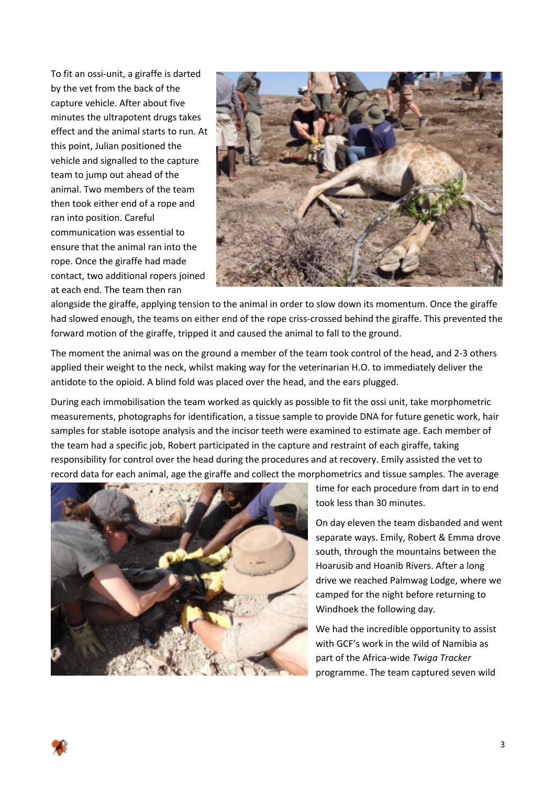To fit an ossi-unit, a giraffe is darted by the vet from the back of the capture vehicle. After about five minutes the ultrapotent drugs takes effect and the animal starts to run. At this point, Julian positioned the vehicle and signalled to the capture team to jump out ahead of the animal. Two members of the team then took either end of a rope and ran into position. Careful communication was essential to ensure that the animal ran into the rope. Once the giraffe had made contact, two additional ropers joined at each end. The team then ran



alongside the giraffe, applying tension to the animal in order to slow down its momentum. Once the giraffe had slowed enough, the teams on either end of the rope criss-crossed behind the giraffe. This prevented the forward motion of the giraffe, tripped it and caused the animal to fall to the ground.

The moment the animal was on the ground a member of the team took control of the head, and 2-3 others applied their weight to the neck, whilst making way for the veterinarian H.O. to immediately deliver the antidote to the opioid. A blind fold was placed over the head, and the ears plugged.

During each immobilisation the team worked as quickly as possible to fit the ossi unit, take morphometric measurements, photographs for identification, a tissue sample to provide DNA for future genetic work, hair samples for stable isotope analysis and the incisor teeth were examined to estimate age. Each member of the team had a specific job, Robert participated in the capture and restraint of each giraffe, taking responsibility for control over the head during the procedures and at recovery. Emily assisted the vet to record data for each animal, age the giraffe and collect the morphometrics and tissue samples. The average



time for each procedure from dart in to end took less than 30 minutes.

On day eleven the team disbanded and went separate ways. Emily, Robert & Emma drove south, through the mountains between the Hoarusib and Hoanib Rivers. After a long drive we reached Palmwag Lodge, where we camped for the night before returning to Windhoek the following day.

We had the incredible opportunity to assist with GCF's work in the wild of Namibia as part of the Africa-wide *Twiga Tracker* programme. The team captured seven wild